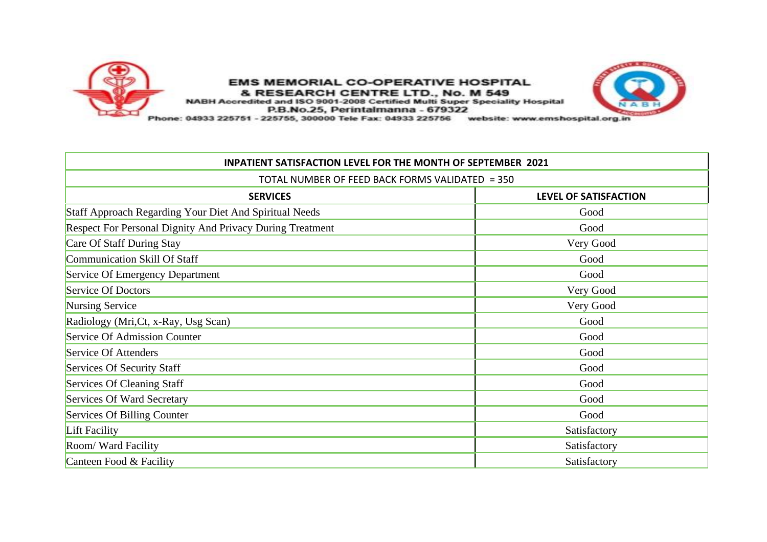

## **EMS MEMORIAL CO-OPERATIVE HOSPITAL** & RESEARCH CENTRE LTD., No. M 549<br>NABH Accredited and ISO 9001-2008 Certified Multi Super Speciality Hospital



P.B.No.25, Perintalmanna - 679322

Phone: 04933 225751 - 225755, 300000 Tele Fax: 04933 225756 website: www.emshospital.org.in

| <b>INPATIENT SATISFACTION LEVEL FOR THE MONTH OF SEPTEMBER 2021</b><br>TOTAL NUMBER OF FEED BACK FORMS VALIDATED = 350 |              |  |
|------------------------------------------------------------------------------------------------------------------------|--------------|--|
|                                                                                                                        |              |  |
| Staff Approach Regarding Your Diet And Spiritual Needs                                                                 | Good         |  |
| Respect For Personal Dignity And Privacy During Treatment                                                              | Good         |  |
| Care Of Staff During Stay                                                                                              | Very Good    |  |
| Communication Skill Of Staff                                                                                           | Good         |  |
| Service Of Emergency Department                                                                                        | Good         |  |
| Service Of Doctors                                                                                                     | Very Good    |  |
| Nursing Service                                                                                                        | Very Good    |  |
| Radiology (Mri, Ct, x-Ray, Usg Scan)                                                                                   | Good         |  |
| Service Of Admission Counter                                                                                           | Good         |  |
| Service Of Attenders                                                                                                   | Good         |  |
| Services Of Security Staff                                                                                             | Good         |  |
| Services Of Cleaning Staff                                                                                             | Good         |  |
| Services Of Ward Secretary                                                                                             | Good         |  |
| Services Of Billing Counter                                                                                            | Good         |  |
| Lift Facility                                                                                                          | Satisfactory |  |
| Room/Ward Facility                                                                                                     | Satisfactory |  |
| Canteen Food & Facility                                                                                                | Satisfactory |  |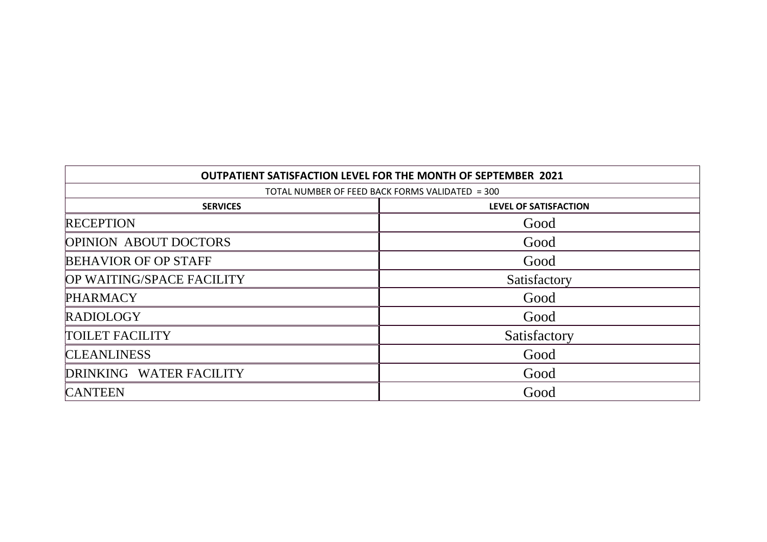| <b>OUTPATIENT SATISFACTION LEVEL FOR THE MONTH OF SEPTEMBER 2021</b><br>TOTAL NUMBER OF FEED BACK FORMS VALIDATED = 300 |              |  |
|-------------------------------------------------------------------------------------------------------------------------|--------------|--|
|                                                                                                                         |              |  |
| <b>RECEPTION</b>                                                                                                        | Good         |  |
| <b>OPINION ABOUT DOCTORS</b>                                                                                            | Good         |  |
| <b>BEHAVIOR OF OP STAFF</b>                                                                                             | Good         |  |
| OP WAITING/SPACE FACILITY                                                                                               | Satisfactory |  |
| <b>PHARMACY</b>                                                                                                         | Good         |  |
| <b>RADIOLOGY</b>                                                                                                        | Good         |  |
| <b>TOILET FACILITY</b>                                                                                                  | Satisfactory |  |
| <b>CLEANLINESS</b>                                                                                                      | Good         |  |
| DRINKING WATER FACILITY                                                                                                 | Good         |  |
| <b>CANTEEN</b>                                                                                                          | Good         |  |